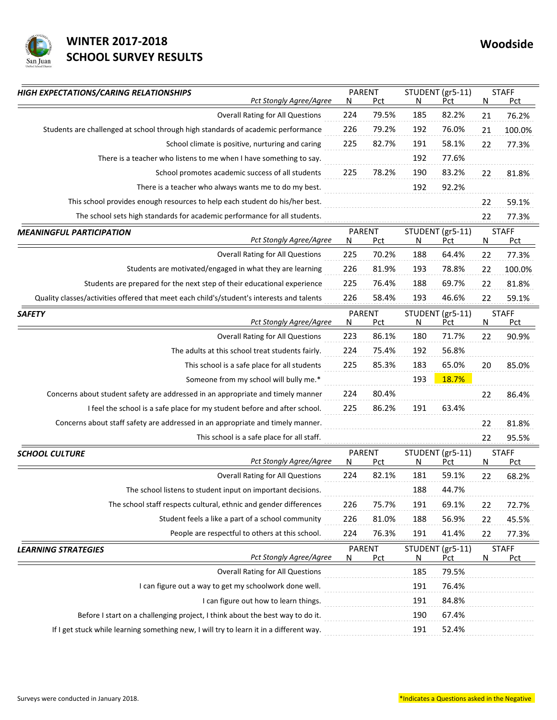

## **WINTER 2017-2018 Woodside SCHOOL SURVEY RESULTS**

| HIGH EXPECTATIONS/CARING RELATIONSHIPS                                                    | <b>PARENT</b>                    |                             |                              | STUDENT (gr5-11)        | <b>STAFF</b>             |                            |  |
|-------------------------------------------------------------------------------------------|----------------------------------|-----------------------------|------------------------------|-------------------------|--------------------------|----------------------------|--|
| Pct Stongly Agree/Agree                                                                   | N                                | Pct                         | N                            | Pct                     | N                        | Pct                        |  |
| <b>Overall Rating for All Questions</b>                                                   | 224                              | 79.5%                       | 185                          | 82.2%                   | 21                       | 76.2%                      |  |
| Students are challenged at school through high standards of academic performance          | 226                              | 79.2%                       | 192                          | 76.0%                   | 21                       | 100.0%                     |  |
| School climate is positive, nurturing and caring                                          | 225                              | 82.7%                       | 191                          | 58.1%                   | 22                       | 77.3%                      |  |
| There is a teacher who listens to me when I have something to say.                        |                                  |                             | 192                          | 77.6%                   |                          |                            |  |
| School promotes academic success of all students                                          | 225                              | 78.2%                       | 190                          | 83.2%                   | 22                       | 81.8%                      |  |
| There is a teacher who always wants me to do my best.                                     |                                  |                             | 192                          | 92.2%                   |                          |                            |  |
| This school provides enough resources to help each student do his/her best.               |                                  |                             |                              |                         | 22                       | 59.1%                      |  |
| The school sets high standards for academic performance for all students.                 |                                  |                             |                              |                         | 22                       | 77.3%                      |  |
| <b>MEANINGFUL PARTICIPATION</b><br>Pct Stongly Agree/Agree                                | N                                | <b>PARENT</b><br><b>Pct</b> | Ν                            | STUDENT (gr5-11)<br>Pct | N                        | <b>STAFF</b><br><b>Pct</b> |  |
| <b>Overall Rating for All Questions</b>                                                   | 225                              | 70.2%                       | 188                          | 64.4%                   | 22                       | 77.3%                      |  |
| Students are motivated/engaged in what they are learning                                  | 226                              | 81.9%                       | 193                          | 78.8%                   | 22                       | 100.0%                     |  |
| Students are prepared for the next step of their educational experience                   | 225                              | 76.4%                       | 188                          | 69.7%                   | 22                       | 81.8%                      |  |
| Quality classes/activities offered that meet each child's/student's interests and talents | 226                              | 58.4%                       | 193                          | 46.6%                   | 22                       | 59.1%                      |  |
| <b>SAFETY</b><br>Pct Stongly Agree/Agree                                                  | N                                | <b>PARENT</b><br>Pct        | N                            | STUDENT (gr5-11)<br>Pct | N                        | <b>STAFF</b><br><b>Pct</b> |  |
| <b>Overall Rating for All Questions</b>                                                   | 223                              | 86.1%                       | 180                          | 71.7%                   | 22                       | 90.9%                      |  |
| The adults at this school treat students fairly.                                          | 224                              | 75.4%                       | 192                          | 56.8%                   |                          |                            |  |
| This school is a safe place for all students                                              | 225                              | 85.3%                       | 183                          | 65.0%                   | 20                       | 85.0%                      |  |
| Someone from my school will bully me.*                                                    |                                  |                             | 193                          | 18.7%                   |                          |                            |  |
| Concerns about student safety are addressed in an appropriate and timely manner           | 224                              | 80.4%                       |                              |                         | 22                       | 86.4%                      |  |
| I feel the school is a safe place for my student before and after school.                 | 225                              | 86.2%                       | 191                          | 63.4%                   |                          |                            |  |
| Concerns about staff safety are addressed in an appropriate and timely manner.            |                                  |                             |                              |                         | 22                       | 81.8%                      |  |
| This school is a safe place for all staff.                                                |                                  |                             |                              |                         | 22                       | 95.5%                      |  |
| <b>SCHOOL CULTURE</b><br><b>Pct Stongly Agree/Agree</b>                                   | <b>PARENT</b><br><u>N</u><br>Pct |                             | STUDENT (gr5-11)<br>N<br>Pct |                         | <b>STAFF</b><br>N<br>Pct |                            |  |
| <b>Overall Rating for All Questions</b>                                                   | 224                              | 82.1%                       | 181                          | 59.1%                   | 22                       | 68.2%                      |  |
| The school listens to student input on important decisions.                               |                                  |                             | 188                          | 44.7%                   |                          |                            |  |
| The school staff respects cultural, ethnic and gender differences                         | 226                              | 75.7%                       | 191                          | 69.1%                   | 22                       | 72.7%                      |  |
| Student feels a like a part of a school community                                         | 226                              | 81.0%                       | 188                          | 56.9%                   | 22                       | 45.5%                      |  |
| People are respectful to others at this school.                                           | 224                              | 76.3%                       | 191                          | 41.4%                   | 22                       | 77.3%                      |  |
| <b>LEARNING STRATEGIES</b><br>Pct Stongly Agree/Agree                                     | N                                | PARENT<br><b>Pct</b>        | N                            | STUDENT (gr5-11)<br>Pct | N                        | <b>STAFF</b><br>Pct        |  |
| <b>Overall Rating for All Questions</b>                                                   |                                  |                             | 185                          | 79.5%                   |                          |                            |  |
| I can figure out a way to get my schoolwork done well.                                    |                                  |                             | 191                          | 76.4%                   |                          |                            |  |
| I can figure out how to learn things.                                                     |                                  |                             | 191                          | 84.8%                   |                          |                            |  |
| Before I start on a challenging project, I think about the best way to do it.             |                                  |                             | 190                          | 67.4%                   |                          |                            |  |
| If I get stuck while learning something new, I will try to learn it in a different way.   |                                  |                             | 191                          | 52.4%                   |                          |                            |  |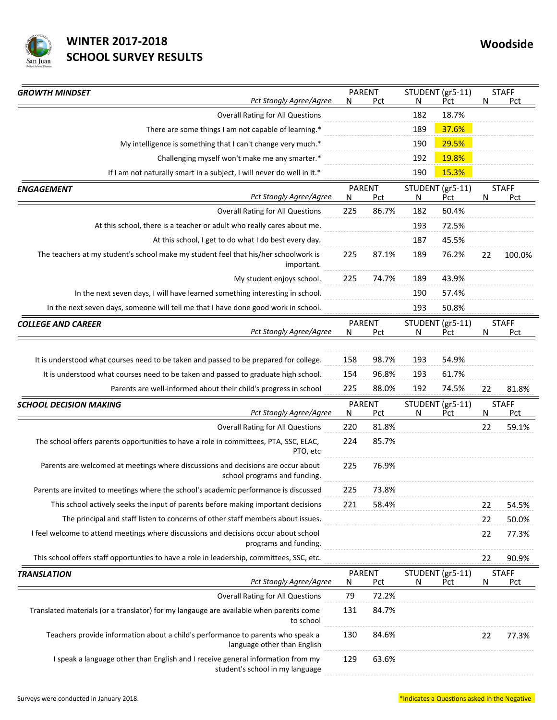

## **WINTER 2017-2018 Woodside SCHOOL SURVEY RESULTS**

San Juan

| <b>GROWTH MINDSET</b><br><b>Pct Stongly Agree/Agree</b>                                                            | <b>PARENT</b><br>Pct<br>N |            | N   | STUDENT (gr5-11)<br>Pct | N  | <b>STAFF</b><br>Pct |
|--------------------------------------------------------------------------------------------------------------------|---------------------------|------------|-----|-------------------------|----|---------------------|
| <b>Overall Rating for All Questions</b>                                                                            |                           |            | 182 | 18.7%                   |    |                     |
| There are some things I am not capable of learning.*                                                               |                           |            | 189 | 37.6%                   |    |                     |
| My intelligence is something that I can't change very much.*                                                       |                           |            | 190 | 29.5%                   |    |                     |
| Challenging myself won't make me any smarter.*                                                                     |                           |            | 192 | 19.8%                   |    |                     |
| If I am not naturally smart in a subject, I will never do well in it.*                                             |                           |            | 190 | 15.3%                   |    |                     |
| <b>ENGAGEMENT</b><br>Pct Stongly Agree/Agree                                                                       | <b>PARENT</b><br>N        | Pct        | N   | STUDENT (gr5-11)<br>Pct | N  | <b>STAFF</b><br>Pct |
| <b>Overall Rating for All Questions</b>                                                                            | 225                       | 86.7%      | 182 | 60.4%                   |    |                     |
| At this school, there is a teacher or adult who really cares about me.                                             |                           |            | 193 | 72.5%                   |    |                     |
| At this school, I get to do what I do best every day.                                                              |                           |            | 187 | 45.5%                   |    |                     |
| The teachers at my student's school make my student feel that his/her schoolwork is<br>important.                  | 225                       | 87.1%      | 189 | 76.2%                   | 22 | 100.0%              |
| My student enjoys school.                                                                                          | 225                       | 74.7%      | 189 | 43.9%                   |    |                     |
| In the next seven days, I will have learned something interesting in school.                                       |                           |            | 190 | 57.4%                   |    |                     |
| In the next seven days, someone will tell me that I have done good work in school.                                 |                           |            | 193 | 50.8%                   |    |                     |
| <b>COLLEGE AND CAREER</b><br>Pct Stongly Agree/Agree                                                               | <b>PARENT</b><br>N        | Pct        | N   | STUDENT (gr5-11)<br>Pct | N  | <b>STAFF</b><br>Pct |
| It is understood what courses need to be taken and passed to be prepared for college.                              | 158                       | 98.7%      | 193 | 54.9%                   |    |                     |
| It is understood what courses need to be taken and passed to graduate high school.                                 | 154                       | 96.8%      | 193 | 61.7%                   |    |                     |
| Parents are well-informed about their child's progress in school                                                   | 225                       | 88.0%      | 192 | 74.5%                   | 22 | 81.8%               |
| <b>SCHOOL DECISION MAKING</b><br>Pct Stongly Agree/Agree                                                           | <b>PARENT</b><br>N        | Pct        | N   | STUDENT (gr5-11)<br>Pct | N  | <b>STAFF</b><br>Pct |
| <b>Overall Rating for All Questions</b>                                                                            | 220                       | 81.8%      |     |                         | 22 | 59.1%               |
| The school offers parents opportunities to have a role in committees, PTA, SSC, ELAC,<br>PTO, etc                  | 224                       | 85.7%      |     |                         |    |                     |
| Parents are welcomed at meetings where discussions and decisions are occur about<br>school programs and funding.   | 225                       | 76.9%      |     |                         |    |                     |
| Parents are invited to meetings where the school's academic performance is discussed                               | 225                       | 73.8%      |     |                         |    |                     |
| This school actively seeks the input of parents before making important decisions                                  | 221                       | 58.4%      |     |                         | 22 | 54.5%               |
| The principal and staff listen to concerns of other staff members about issues.                                    |                           |            |     |                         | 22 | 50.0%               |
| I feel welcome to attend meetings where discussions and decisions occur about school<br>programs and funding.      |                           |            |     |                         | 22 | 77.3%               |
| This school offers staff opportunties to have a role in leadership, committees, SSC, etc.                          |                           |            |     |                         | 22 | 90.9%               |
| <b>TRANSLATION</b><br>Pct Stongly Agree/Agree                                                                      | <b>PARENT</b><br>N        | <b>Pct</b> | N   | STUDENT (gr5-11)<br>Pct | N  | <b>STAFF</b><br>Pct |
| <b>Overall Rating for All Questions</b>                                                                            | 79                        | 72.2%      |     |                         |    |                     |
| Translated materials (or a translator) for my langauge are available when parents come<br>to school                | 131                       | 84.7%      |     |                         |    |                     |
| Teachers provide information about a child's performance to parents who speak a<br>language other than English     | 130                       | 84.6%      |     |                         | 22 | 77.3%               |
| I speak a language other than English and I receive general information from my<br>student's school in my language | 129                       | 63.6%      |     |                         |    |                     |